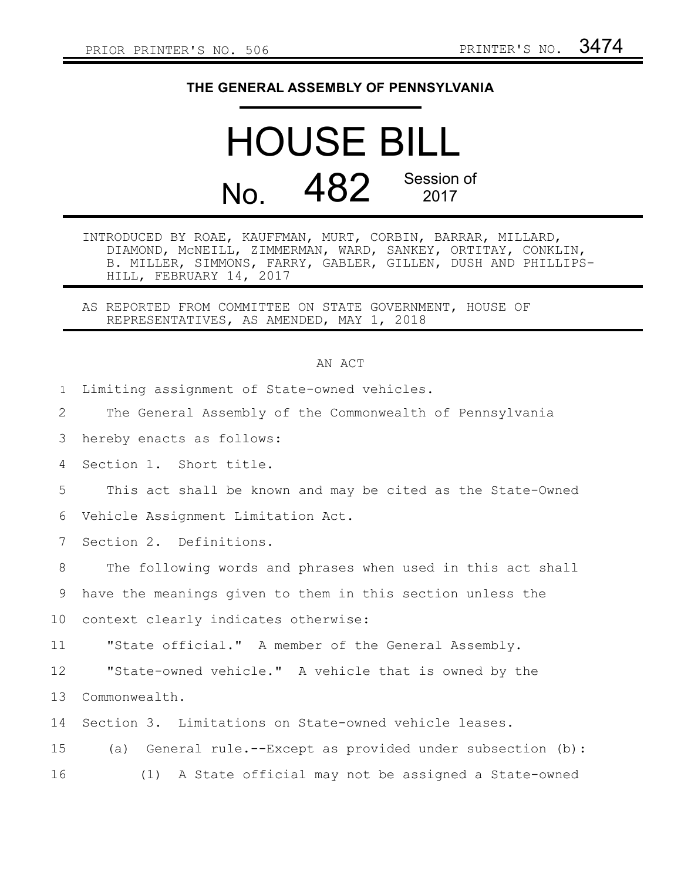## **THE GENERAL ASSEMBLY OF PENNSYLVANIA**

## HOUSE BILL No. 482 Session of

INTRODUCED BY ROAE, KAUFFMAN, MURT, CORBIN, BARRAR, MILLARD, DIAMOND, McNEILL, ZIMMERMAN, WARD, SANKEY, ORTITAY, CONKLIN, B. MILLER, SIMMONS, FARRY, GABLER, GILLEN, DUSH AND PHILLIPS-HILL, FEBRUARY 14, 2017

AS REPORTED FROM COMMITTEE ON STATE GOVERNMENT, HOUSE OF REPRESENTATIVES, AS AMENDED, MAY 1, 2018

|              | AN ACT                                                      |
|--------------|-------------------------------------------------------------|
| $\mathbf{1}$ | Limiting assignment of State-owned vehicles.                |
| 2            | The General Assembly of the Commonwealth of Pennsylvania    |
| 3            | hereby enacts as follows:                                   |
| 4            | Section 1. Short title.                                     |
| 5            | This act shall be known and may be cited as the State-Owned |
| 6            | Vehicle Assignment Limitation Act.                          |
| 7            | Section 2. Definitions.                                     |
| 8            | The following words and phrases when used in this act shall |
| 9            | have the meanings given to them in this section unless the  |
| 10           | context clearly indicates otherwise:                        |
| 11           | "State official." A member of the General Assembly.         |
| 12           | "State-owned vehicle." A vehicle that is owned by the       |
| 13           | Commonwealth.                                               |
| 14           | Section 3. Limitations on State-owned vehicle leases.       |
| 15           | (a) General rule.--Except as provided under subsection (b): |
| 16           | A State official may not be assigned a State-owned<br>(1)   |